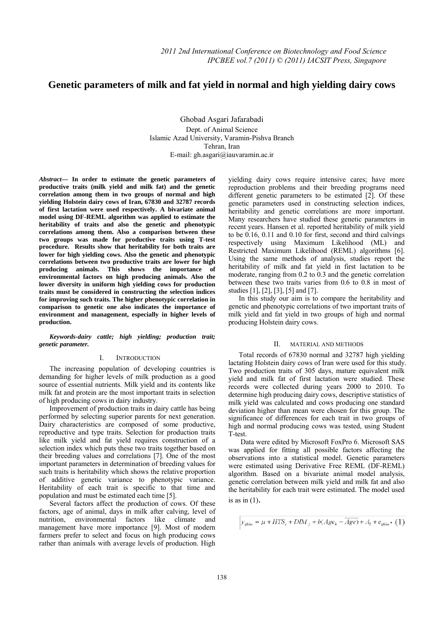# **Genetic parameters of milk and fat yield in normal and high yielding dairy cows**

Ghobad Asgari Jafarabadi Dept. of Animal Science Islamic Azad University, Varamin-Pishva Branch Tehran, Iran E-mail: gh.asgari@iauvaramin.ac.ir

*Abstract***— In order to estimate the genetic parameters of productive traits (milk yield and milk fat) and the genetic correlation among them in two groups of normal and high yielding Holstein dairy cows of Iran, 67830 and 32787 records of first lactation were used respectively. A bivariate animal model using DF-REML algorithm was applied to estimate the heritability of traits and also the genetic and phenotypic correlations among them. Also a comparison between these two groups was made for productive traits using T-test procedure. Results show that heritability for both traits are lower for high yielding cows. Also the genetic and phenotypic correlations between two productive traits are lower for high producing animals. This shows the importance of environmental factors on high producing animals. Also the lower diversity in uniform high yielding cows for production traits must be considered in constructing the selection indices for improving such traits. The higher phenotypic correlation in comparison to genetic one also indicates the importance of environment and management, especially in higher levels of production.** 

*Keywords-dairy cattle; high yielding; production trait; genetic parameter.* 

# I. INTRODUCTION

The increasing population of developing countries is demanding for higher levels of milk production as a good source of essential nutrients. Milk yield and its contents like milk fat and protein are the most important traits in selection of high producing cows in dairy industry.

Improvement of production traits in dairy cattle has being performed by selecting superior parents for next generation. Dairy characteristics are composed of some productive, reproductive and type traits. Selection for production traits like milk yield and fat yield requires construction of a selection index which puts these two traits together based on their breeding values and correlations [7]. One of the most important parameters in determination of breeding values for such traits is heritability which shows the relative proportion of additive genetic variance to phenotypic variance. Heritability of each trait is specific to that time and population and must be estimated each time [5].

Several factors affect the production of cows. Of these factors, age of animal, days in milk after calving, level of nutrition, environmental factors like climate and management have more importance [9]. Most of modern farmers prefer to select and focus on high producing cows rather than animals with average levels of production. High

yielding dairy cows require intensive cares; have more reproduction problems and their breeding programs need different genetic parameters to be estimated [2]. Of these genetic parameters used in constructing selection indices, heritability and genetic correlations are more important. Many researchers have studied these genetic parameters in recent years. Hansen et al. reported heritability of milk yield to be 0.16, 0.11 and 0.10 for first, second and third calvings respectively using Maximum Likelihood (ML) and Restricted Maximum Likelihood (REML) algorithms [6]. Using the same methods of analysis, studies report the heritability of milk and fat yield in first lactation to be moderate, ranging from 0.2 to 0.3 and the genetic correlation between these two traits varies from 0.6 to 0.8 in most of studies [1], [2], [3], [5] and [7].

In this study our aim is to compare the heritability and genetic and phenotypic correlations of two important traits of milk yield and fat yield in two groups of high and normal producing Holstein dairy cows.

## II. MATERIAL AND METHODS

Total records of 67830 normal and 32787 high yielding lactating Holstein dairy cows of Iran were used for this study. Two production traits of 305 days, mature equivalent milk yield and milk fat of first lactation were studied. These records were collected during years 2000 to 2010. To determine high producing dairy cows, descriptive statistics of milk yield was calculated and cows producing one standard deviation higher than mean were chosen for this group. The significance of differences for each trait in two groups of high and normal producing cows was tested, using Student T-test.

 Data were edited by Microsoft FoxPro 6. Microsoft SAS was applied for fitting all possible factors affecting the observations into a statistical model. Genetic parameters were estimated using Derivative Free REML (DF-REML) algorithm. Based on a bivariate animal model analysis, genetic correlation between milk yield and milk fat and also the heritability for each trait were estimated. The model used is as in  $(1)$ .

$$
y_{ijklm} = \mu + HYS_i + DM_i + b(Age_k - Age) + A_i + e_{ijklm} \cdot (1)
$$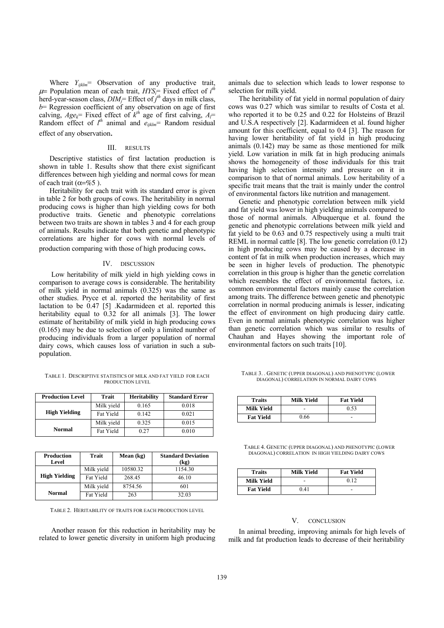Where  $Y_{ijklm}$ = Observation of any productive trait,  $\mu$  Population mean of each trait,  $HYS$  Fixed effect of  $i^{th}$ herd-year-season class, *DIMj*= Effect of *j th* days in milk class, *b*= Regression coefficient of any observation on age of first calving,  $Age_k$ = Fixed effect of  $k^{th}$  age of first calving,  $A_i$ = Random effect of  $l^{th}$  animal and  $e_{ijklm}$  Random residual effect of any observation.

#### III. RESULTS

Descriptive statistics of first lactation production is shown in table 1. Results show that there exist significant differences between high yielding and normal cows for mean of each trait ( $\alpha = \%$ 5).

Heritability for each trait with its standard error is given in table 2 for both groups of cows. The heritability in normal producing cows is higher than high yielding cows for both productive traits. Genetic and phenotypic correlations between two traits are shown in tables 3 and 4 for each group of animals. Results indicate that both genetic and phenotypic correlations are higher for cows with normal levels of production comparing with those of high producing cows.

#### IV. DISCUSSION

 Low heritability of milk yield in high yielding cows in comparison to average cows is considerable. The heritability of milk yield in normal animals (0.325) was the same as other studies. Pryce et al. reported the heritability of first lactation to be 0.47 [5] .Kadarmideen et al. reported this heritability equal to 0.32 for all animals [3]. The lower estimate of heritability of milk yield in high producing cows (0.165) may be due to selection of only a limited number of producing individuals from a larger population of normal dairy cows, which causes loss of variation in such a subpopulation.

TABLE 1. DESCRIPTIVE STATISTICS OF MILK AND FAT YIELD FOR EACH PRODUCTION LEVEL

| <b>Production Level</b> | Trait      | <b>Heritability</b> | <b>Standard Error</b> |
|-------------------------|------------|---------------------|-----------------------|
|                         | Milk yield | 0.165               | 0.018                 |
| <b>High Yielding</b>    | Fat Yield  | 0.142               | 0.021                 |
|                         | Milk yield | 0.325               | 0.015                 |
| <b>Normal</b>           | Fat Yield  | 0.27                | 0.010                 |

| <b>Production</b><br>Level | Trait      | Mean (kg) | <b>Standard Deviation</b><br>(kg) |
|----------------------------|------------|-----------|-----------------------------------|
|                            | Milk yield | 10580.32  | 1154.30                           |
| <b>High Yielding</b>       | Fat Yield  | 268.45    | 46.10                             |
|                            | Milk yield | 8754.56   | 601                               |
| <b>Normal</b>              | Fat Yield  | 263       | 32.03                             |

TABLE 2. HERITABILITY OF TRAITS FOR EACH PRODUCTION LEVEL

 Another reason for this reduction in heritability may be related to lower genetic diversity in uniform high producing animals due to selection which leads to lower response to selection for milk yield.

The heritability of fat yield in normal population of dairy cows was 0.27 which was similar to results of Costa et al. who reported it to be 0.25 and 0.22 for Holsteins of Brazil and U.S.A respectively [2]. Kadarmideen et al. found higher amount for this coefficient, equal to 0.4 [3]. The reason for having lower heritability of fat yield in high producing animals (0.142) may be same as those mentioned for milk yield. Low variation in milk fat in high producing animals shows the homogeneity of those individuals for this trait having high selection intensity and pressure on it in comparison to that of normal animals. Low heritability of a specific trait means that the trait is mainly under the control of environmental factors like nutrition and management.

Genetic and phenotypic correlation between milk yield and fat yield was lower in high yielding animals compared to those of normal animals. Albuquerque et al. found the genetic and phenotypic correlations between milk yield and fat yield to be 0.63 and 0.75 respectively using a multi trait REML in normal cattle [8]. The low genetic correlation (0.12) in high producing cows may be caused by a decrease in content of fat in milk when production increases, which may be seen in higher levels of production. The phenotypic correlation in this group is higher than the genetic correlation which resembles the effect of environmental factors, i.e. common environmental factors mainly cause the correlation among traits. The difference between genetic and phenotypic correlation in normal producing animals is lesser, indicating the effect of environment on high producing dairy cattle. Even in normal animals phenotypic correlation was higher than genetic correlation which was similar to results of Chauhan and Hayes showing the important role of environmental factors on such traits [10].

TABLE 3. GENETIC (UPPER DIAGONAL) AND PHENOTYPIC (LOWER DIAGONAL) CORRELATION IN NORMAL DAIRY COWS

| <b>Traits</b>    | Milk Yield | <b>Fat Yield</b> |
|------------------|------------|------------------|
| Milk Yield       | -          | 0.53             |
| <b>Fat Yield</b> | 0.66       | -                |

TABLE 4. GENETIC (UPPER DIAGONAL) AND PHENOTYPIC (LOWER DIAGONAL) CORRELATION IN HIGH YIELDING DAIRY COWS

| <b>Traits</b>    | Milk Yield | <b>Fat Yield</b> |
|------------------|------------|------------------|
| Milk Yield       |            | 0.12             |
| <b>Fat Yield</b> | 041        |                  |

#### V. CONCLUSION

In animal breeding, improving animals for high levels of milk and fat production leads to decrease of their heritability